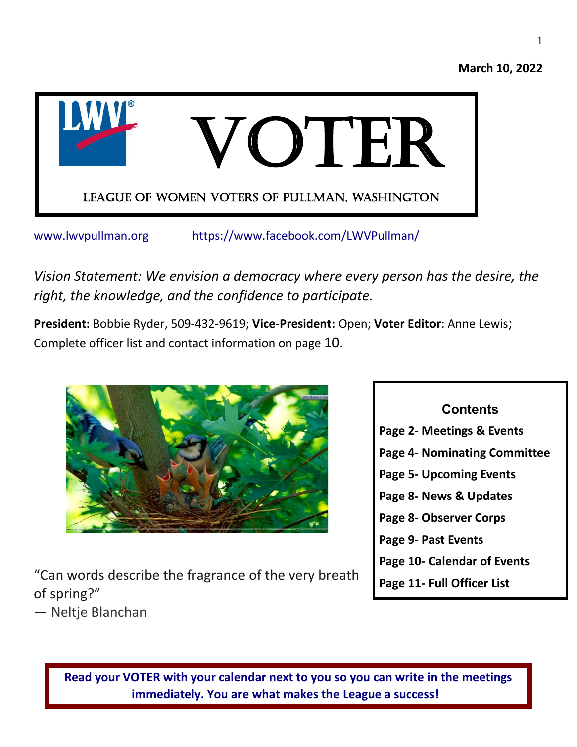



[www.lwvpullman.org](http://www.lwvpullman.org/) <https://www.facebook.com/LWVPullman/>

*Vision Statement: We envision a democracy where every person has the desire, the right, the knowledge, and the confidence to participate.*

**President:** Bobbie Ryder, 509-432-9619; **Vice-President:** Open; **Voter Editor**: Anne Lewis; Complete officer list and contact information on page 10.



"Can words describe the fragrance of the very breath of spring?"

― Neltje Blanchan

| <b>Contents</b>                |
|--------------------------------|
| Page 2- Meetings & Events      |
| Page 4- Nominating Committee   |
| <b>Page 5- Upcoming Events</b> |
| Page 8- News & Updates         |
| Page 8- Observer Corps         |
| Page 9- Past Events            |
| Page 10- Calendar of Events    |
| Page 11- Full Officer List     |
|                                |

**Read your VOTER with your calendar next to you so you can write in the meetings immediately. You are what makes the League a success!**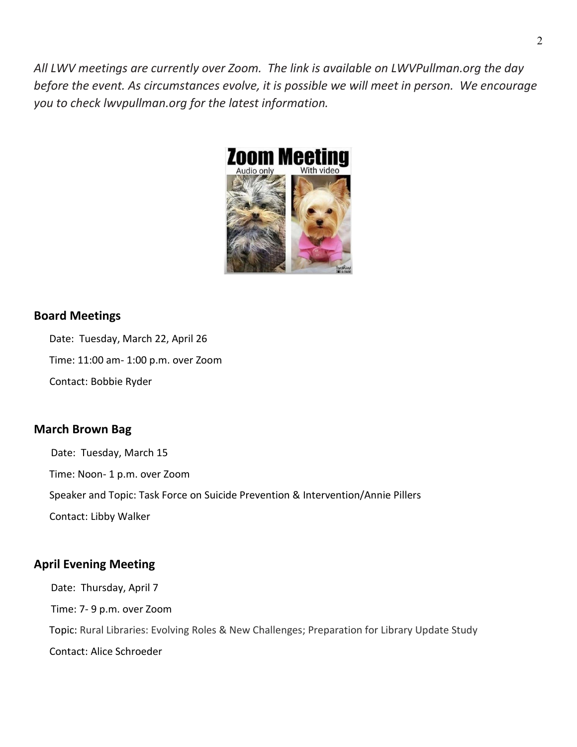*All LWV meetings are currently over Zoom. The link is available on LWVPullman.org the day before the event. As circumstances evolve, it is possible we will meet in person. We encourage you to check lwvpullman.org for the latest information.* 



#### **Board Meetings**

Date: Tuesday, March 22, April 26

Time: 11:00 am- 1:00 p.m. over Zoom

Contact: Bobbie Ryder

#### **March Brown Bag**

Date: Tuesday, March 15 Time: Noon- 1 p.m. over Zoom Speaker and Topic: Task Force on Suicide Prevention & Intervention/Annie Pillers Contact: Libby Walker

### **April Evening Meeting**

Date: Thursday, April 7 Time: 7- 9 p.m. over Zoom Topic: Rural Libraries: Evolving Roles & New Challenges; Preparation for Library Update Study Contact: Alice Schroeder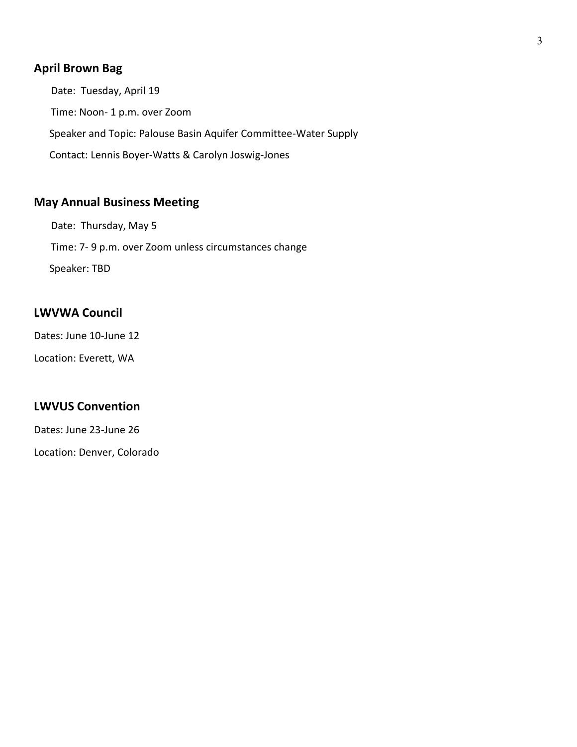## **April Brown Bag**

Date: Tuesday, April 19 Time: Noon- 1 p.m. over Zoom Speaker and Topic: Palouse Basin Aquifer Committee-Water Supply Contact: Lennis Boyer-Watts & Carolyn Joswig-Jones

### **May Annual Business Meeting**

Date: Thursday, May 5 Time: 7- 9 p.m. over Zoom unless circumstances change Speaker: TBD

#### **LWVWA Council**

Dates: June 10-June 12

Location: Everett, WA

#### **LWVUS Convention**

Dates: June 23-June 26

Location: Denver, Colorado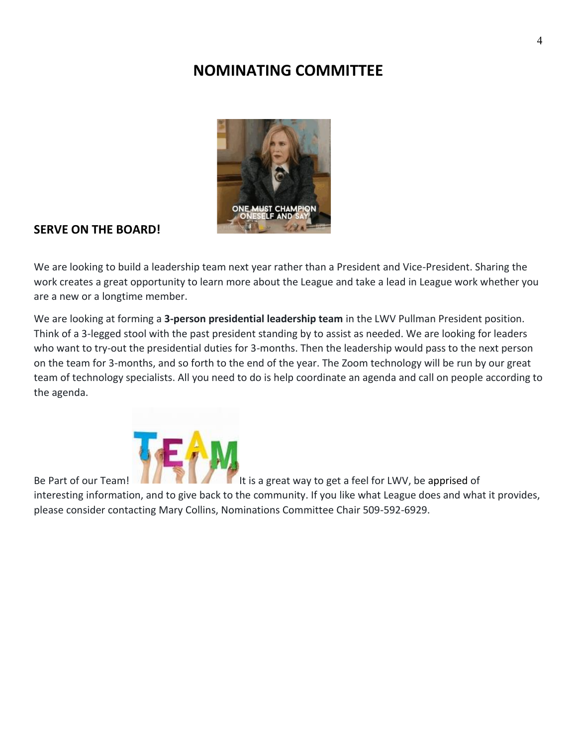## **NOMINATING COMMITTEE**



#### **SERVE ON THE BOARD!**

We are looking to build a leadership team next year rather than a President and Vice-President. Sharing the work creates a great opportunity to learn more about the League and take a lead in League work whether you are a new or a longtime member.

We are looking at forming a **3-person presidential leadership team** in the LWV Pullman President position. Think of a 3-legged stool with the past president standing by to assist as needed. We are looking for leaders who want to try-out the presidential duties for 3-months. Then the leadership would pass to the next person on the team for 3-months, and so forth to the end of the year. The Zoom technology will be run by our great team of technology specialists. All you need to do is help coordinate an agenda and call on people according to the agenda.



Be Part of our Team!

interesting information, and to give back to the community. If you like what League does and what it provides, please consider contacting Mary Collins, Nominations Committee Chair 509-592-6929.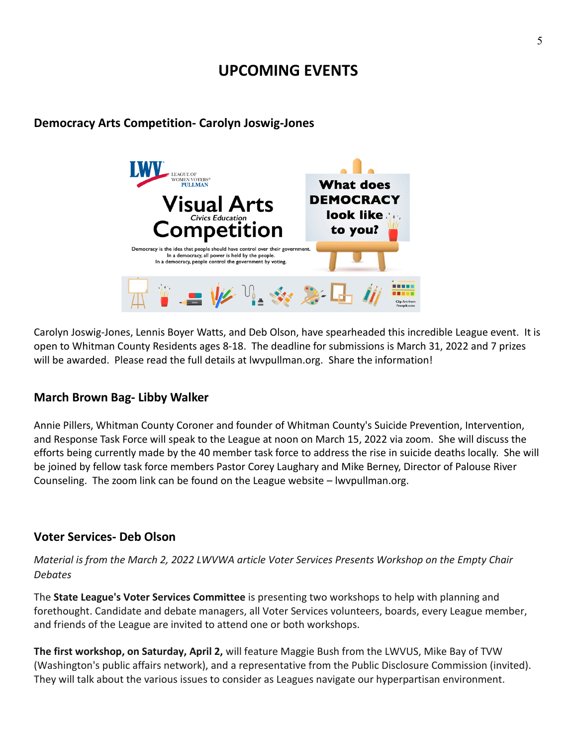## **UPCOMING EVENTS**

# **OMEN VOTERS®**<br>PULLMAN **What does DEMOCRACY look like to** to you? dea that people should have control over the In a democracy, all power is held by the people. In a democracy, people control the government by voting

**Democracy Arts Competition- Carolyn Joswig-Jones**

Carolyn Joswig-Jones, Lennis Boyer Watts, and Deb Olson, have spearheaded this incredible League event. It is open to Whitman County Residents ages 8-18. The deadline for submissions is March 31, 2022 and 7 prizes will be awarded. Please read the full details at lwvpullman.org. Share the information!

## **March Brown Bag- Libby Walker**

Annie Pillers, Whitman County Coroner and founder of Whitman County's Suicide Prevention, Intervention, and Response Task Force will speak to the League at noon on March 15, 2022 via zoom. She will discuss the efforts being currently made by the 40 member task force to address the rise in suicide deaths locally. She will be joined by fellow task force members Pastor Corey Laughary and Mike Berney, Director of Palouse River Counseling. The zoom link can be found on the League website – lwvpullman.org.

### **Voter Services- Deb Olson**

*Material is from the March 2, 2022 LWVWA article Voter Services Presents Workshop on the Empty Chair Debates*

The **State League's Voter Services Committee** is presenting two workshops to help with planning and forethought. Candidate and debate managers, all Voter Services volunteers, boards, every League member, and friends of the League are invited to attend one or both workshops.

**The first workshop, on Saturday, April 2,** will feature Maggie Bush from the LWVUS, Mike Bay of TVW (Washington's public affairs network), and a representative from the Public Disclosure Commission (invited). They will talk about the various issues to consider as Leagues navigate our hyperpartisan environment.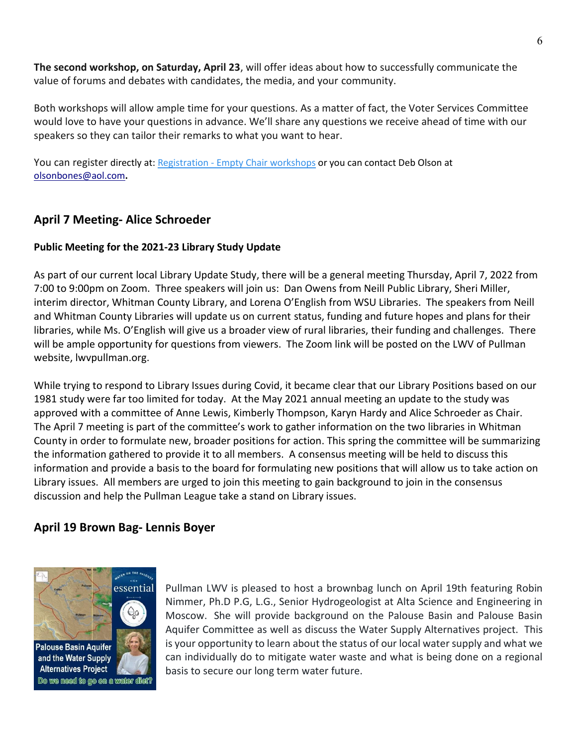**The second workshop, on Saturday, April 23**, will offer ideas about how to successfully communicate the value of forums and debates with candidates, the media, and your community.

Both workshops will allow ample time for your questions. As a matter of fact, the Voter Services Committee would love to have your questions in advance. We'll share any questions we receive ahead of time with our speakers so they can tailor their remarks to what you want to hear.

You can register directly at: Registration - [Empty Chair workshops](https://us02web.zoom.us/meeting/register/tZUlduqhqzIsHtEDNKYWUXY6mKNToCHy29UH) or you can contact Deb Olson at [olsonbones@aol.com](mailto:olsonbones@aol.com)**.** 

## **April 7 Meeting- Alice Schroeder**

#### **Public Meeting for the 2021-23 Library Study Update**

As part of our current local Library Update Study, there will be a general meeting Thursday, April 7, 2022 from 7:00 to 9:00pm on Zoom. Three speakers will join us: Dan Owens from Neill Public Library, Sheri Miller, interim director, Whitman County Library, and Lorena O'English from WSU Libraries. The speakers from Neill and Whitman County Libraries will update us on current status, funding and future hopes and plans for their libraries, while Ms. O'English will give us a broader view of rural libraries, their funding and challenges. There will be ample opportunity for questions from viewers. The Zoom link will be posted on the LWV of Pullman website, lwvpullman.org.

While trying to respond to Library Issues during Covid, it became clear that our Library Positions based on our 1981 study were far too limited for today. At the May 2021 annual meeting an update to the study was approved with a committee of Anne Lewis, Kimberly Thompson, Karyn Hardy and Alice Schroeder as Chair. The April 7 meeting is part of the committee's work to gather information on the two libraries in Whitman County in order to formulate new, broader positions for action. This spring the committee will be summarizing the information gathered to provide it to all members. A consensus meeting will be held to discuss this information and provide a basis to the board for formulating new positions that will allow us to take action on Library issues. All members are urged to join this meeting to gain background to join in the consensus discussion and help the Pullman League take a stand on Library issues.

## **April 19 Brown Bag- Lennis Boyer**



Pullman LWV is pleased to host a brownbag lunch on April 19th featuring Robin Nimmer, Ph.D P.G, L.G., Senior Hydrogeologist at Alta Science and Engineering in Moscow. She will provide background on the Palouse Basin and Palouse Basin Aquifer Committee as well as discuss the Water Supply Alternatives project. This is your opportunity to learn about the status of our local water supply and what we can individually do to mitigate water waste and what is being done on a regional basis to secure our long term water future.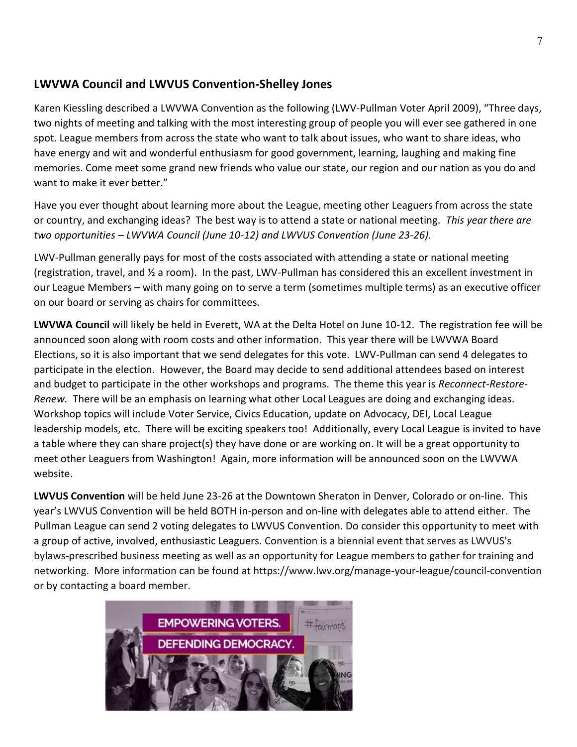## **LWVWA Council and LWVUS Convention-Shelley Jones**

Karen Kiessling described a LWVWA Convention as the following (LWV-Pullman Voter April 2009), "Three days, two nights of meeting and talking with the most interesting group of people you will ever see gathered in one spot. League members from across the state who want to talk about issues, who want to share ideas, who have energy and wit and wonderful enthusiasm for good government, learning, laughing and making fine memories. Come meet some grand new friends who value our state, our region and our nation as you do and want to make it ever better."

Have you ever thought about learning more about the League, meeting other Leaguers from across the state or country, and exchanging ideas? The best way is to attend a state or national meeting. *This year there are two opportunities – LWVWA Council (June 10-12) and LWVUS Convention (June 23-26).*

LWV-Pullman generally pays for most of the costs associated with attending a state or national meeting (registration, travel, and ½ a room). In the past, LWV-Pullman has considered this an excellent investment in our League Members – with many going on to serve a term (sometimes multiple terms) as an executive officer on our board or serving as chairs for committees.

**LWVWA Council** will likely be held in Everett, WA at the Delta Hotel on June 10-12. The registration fee will be announced soon along with room costs and other information. This year there will be LWVWA Board Elections, so it is also important that we send delegates for this vote. LWV-Pullman can send 4 delegates to participate in the election. However, the Board may decide to send additional attendees based on interest and budget to participate in the other workshops and programs. The theme this year is *Reconnect-Restore-Renew.* There will be an emphasis on learning what other Local Leagues are doing and exchanging ideas. Workshop topics will include Voter Service, Civics Education, update on Advocacy, DEI, Local League leadership models, etc. There will be exciting speakers too! Additionally, every Local League is invited to have a table where they can share project(s) they have done or are working on. It will be a great opportunity to meet other Leaguers from Washington! Again, more information will be announced soon on the LWVWA website.

**LWVUS Convention** will be held June 23-26 at the Downtown Sheraton in Denver, Colorado or on-line. This year's LWVUS Convention will be held BOTH in-person and on-line with delegates able to attend either. The Pullman League can send 2 voting delegates to LWVUS Convention. Do consider this opportunity to meet with a group of active, involved, enthusiastic Leaguers. Convention is a biennial event that serves as LWVUS's bylaws-prescribed business meeting as well as an opportunity for League members to gather for training and networking. More information can be found at https://www.lwv.org/manage-your-league/council-convention or by contacting a board member.

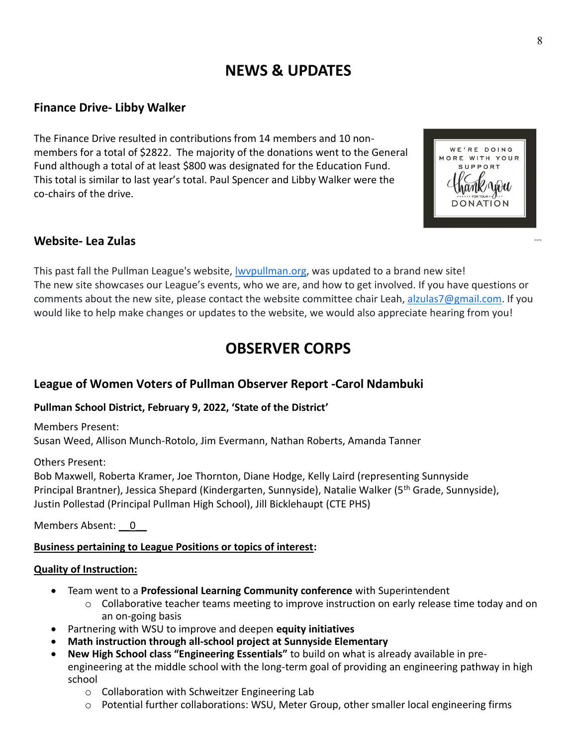# **NEWS & UPDATES**

## **Finance Drive- Libby Walker**

The Finance Drive resulted in contributions from 14 members and 10 nonmembers for a total of \$2822. The majority of the donations went to the General Fund although a total of at least \$800 was designated for the Education Fund. This total is similar to last year's total. Paul Spencer and Libby Walker were the co-chairs of the drive.



## **Website- Lea Zulas**

This past fall the Pullman League's website, [lwvpullman.org,](http://lwvpullman.org/) was updated to a brand new site! The new site showcases our League's events, who we are, and how to get involved. If you have questions or comments about the new site, please contact the website committee chair Leah, [alzulas7@gmail.com.](mailto:alzulas7@gmail.com) If you would like to help make changes or updates to the website, we would also appreciate hearing from you!

# **OBSERVER CORPS**

## **League of Women Voters of Pullman Observer Report -Carol Ndambuki**

#### **Pullman School District, February 9, 2022, 'State of the District'**

Members Present: Susan Weed, Allison Munch-Rotolo, Jim Evermann, Nathan Roberts, Amanda Tanner

#### Others Present:

Bob Maxwell, Roberta Kramer, Joe Thornton, Diane Hodge, Kelly Laird (representing Sunnyside Principal Brantner), Jessica Shepard (Kindergarten, Sunnyside), Natalie Walker (5<sup>th</sup> Grade, Sunnyside), Justin Pollestad (Principal Pullman High School), Jill Bicklehaupt (CTE PHS)

Members Absent: 0

#### **Business pertaining to League Positions or topics of interest:**

#### **Quality of Instruction:**

- Team went to a **Professional Learning Community conference** with Superintendent
	- $\circ$  Collaborative teacher teams meeting to improve instruction on early release time today and on an on-going basis
- Partnering with WSU to improve and deepen **equity initiatives**
- **Math instruction through all-school project at Sunnyside Elementary**
- **New High School class "Engineering Essentials"** to build on what is already available in preengineering at the middle school with the long-term goal of providing an engineering pathway in high school
	- o Collaboration with Schweitzer Engineering Lab
	- $\circ$  Potential further collaborations: WSU, Meter Group, other smaller local engineering firms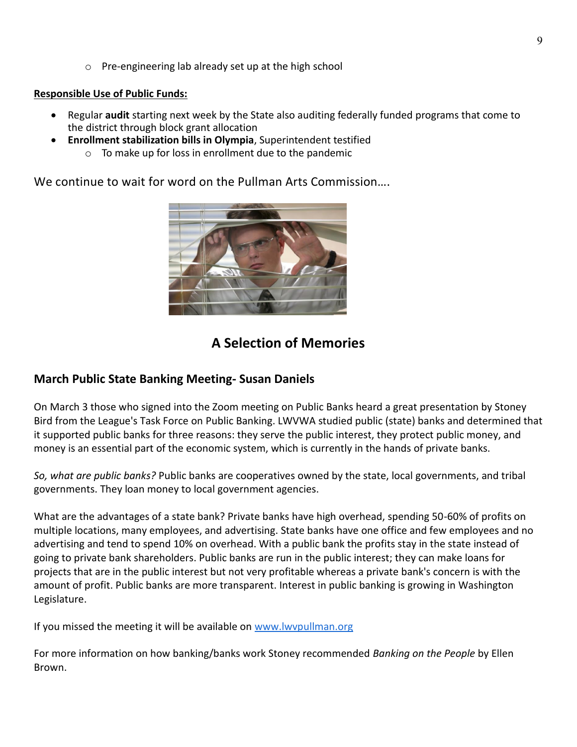o Pre-engineering lab already set up at the high school

#### **Responsible Use of Public Funds:**

- Regular **audit** starting next week by the State also auditing federally funded programs that come to the district through block grant allocation
- **Enrollment stabilization bills in Olympia**, Superintendent testified
	- o To make up for loss in enrollment due to the pandemic

We continue to wait for word on the Pullman Arts Commission….



## **A Selection of Memories**

## **March Public State Banking Meeting- Susan Daniels**

On March 3 those who signed into the Zoom meeting on Public Banks heard a great presentation by Stoney Bird from the League's Task Force on Public Banking. LWVWA studied public (state) banks and determined that it supported public banks for three reasons: they serve the public interest, they protect public money, and money is an essential part of the economic system, which is currently in the hands of private banks.

*So, what are public banks?* Public banks are cooperatives owned by the state, local governments, and tribal governments. They loan money to local government agencies.

What are the advantages of a state bank? Private banks have high overhead, spending 50-60% of profits on multiple locations, many employees, and advertising. State banks have one office and few employees and no advertising and tend to spend 10% on overhead. With a public bank the profits stay in the state instead of going to private bank shareholders. Public banks are run in the public interest; they can make loans for projects that are in the public interest but not very profitable whereas a private bank's concern is with the amount of profit. Public banks are more transparent. Interest in public banking is growing in Washington Legislature.

If you missed the meeting it will be available on [www.lwvpullman.org](http://www.lwvpullman.org/)

For more information on how banking/banks work Stoney recommended *Banking on the People* by Ellen Brown.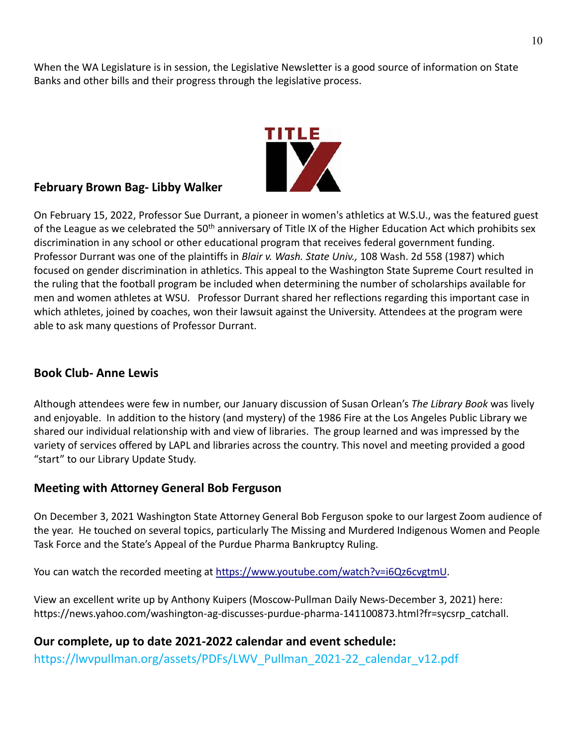When the WA Legislature is in session, the Legislative Newsletter is a good source of information on State Banks and other bills and their progress through the legislative process.



#### **February Brown Bag- Libby Walker**

On February 15, 2022, Professor Sue Durrant, a pioneer in women's athletics at W.S.U., was the featured guest of the League as we celebrated the 50<sup>th</sup> anniversary of Title IX of the Higher Education Act which prohibits sex discrimination in any school or other educational program that receives federal government funding. Professor Durrant was one of the plaintiffs in *Blair v. Wash. State Univ.,* 108 Wash. 2d 558 (1987) which focused on gender discrimination in athletics. This appeal to the Washington State Supreme Court resulted in the ruling that the football program be included when determining the number of scholarships available for men and women athletes at WSU. Professor Durrant shared her reflections regarding this important case in which athletes, joined by coaches, won their lawsuit against the University. Attendees at the program were able to ask many questions of Professor Durrant.

### **Book Club- Anne Lewis**

Although attendees were few in number, our January discussion of Susan Orlean's *The Library Book* was lively and enjoyable. In addition to the history (and mystery) of the 1986 Fire at the Los Angeles Public Library we shared our individual relationship with and view of libraries. The group learned and was impressed by the variety of services offered by LAPL and libraries across the country. This novel and meeting provided a good "start" to our Library Update Study.

### **Meeting with Attorney General Bob Ferguson**

On December 3, 2021 Washington State Attorney General Bob Ferguson spoke to our largest Zoom audience of the year. He touched on several topics, particularly The Missing and Murdered Indigenous Women and People Task Force and the State's Appeal of the Purdue Pharma Bankruptcy Ruling.

You can watch the recorded meeting at [https://www.youtube.com/watch?v=i6Qz6cvgtmU.](https://www.youtube.com/watch?v=i6Qz6cvgtmU)

View an excellent write up by Anthony Kuipers (Moscow-Pullman Daily News-December 3, 2021) here: https://news.yahoo.com/washington-ag-discusses-purdue-pharma-141100873.html?fr=sycsrp\_catchall.

## **Our complete, up to date 2021-2022 calendar and event schedule:**

https://lwvpullman.org/assets/PDFs/LWV\_Pullman\_2021-22\_calendar\_v12.pdf